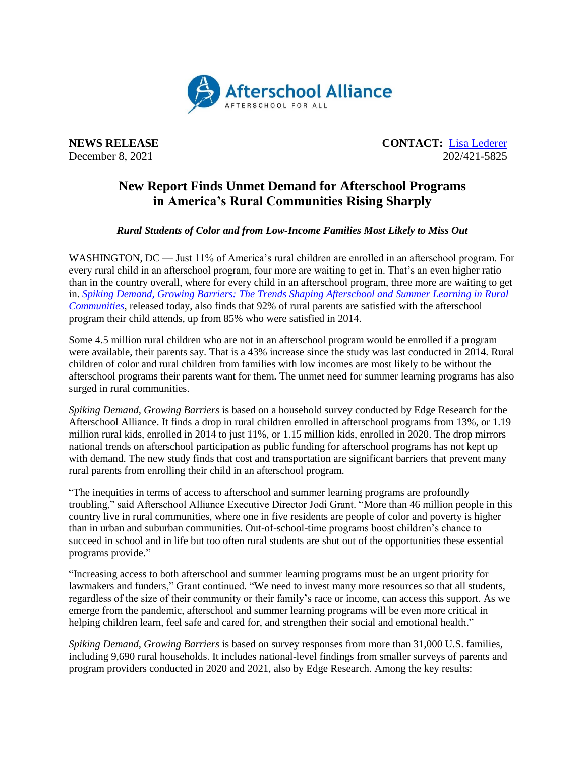

**NEWS RELEASE CONTACT:** <u>[Lisa Lederer](mailto:lisa@prsolutionsdc.com)</u> December 8, 2021 202/421-5825

## **New Report Finds Unmet Demand for Afterschool Programs in America's Rural Communities Rising Sharply**

## *Rural Students of Color and from Low-Income Families Most Likely to Miss Out*

WASHINGTON, DC — Just 11% of America's rural children are enrolled in an afterschool program. For every rural child in an afterschool program, four more are waiting to get in. That's an even higher ratio than in the country overall, where for every child in an afterschool program, three more are waiting to get in. *[Spiking Demand, Growing Barriers: The Trends Shaping Afterschool and Summer Learning in Rural](http://afterschoolalliance.org/documents/AA3PM/AA3PM-Rural-Report-2021.pdf)  [Communities](http://afterschoolalliance.org/documents/AA3PM/AA3PM-Rural-Report-2021.pdf)*, released today, also finds that 92% of rural parents are satisfied with the afterschool program their child attends, up from 85% who were satisfied in 2014.

Some 4.5 million rural children who are not in an afterschool program would be enrolled if a program were available, their parents say. That is a 43% increase since the study was last conducted in 2014. Rural children of color and rural children from families with low incomes are most likely to be without the afterschool programs their parents want for them. The unmet need for summer learning programs has also surged in rural communities.

*Spiking Demand, Growing Barriers* is based on a household survey conducted by Edge Research for the Afterschool Alliance. It finds a drop in rural children enrolled in afterschool programs from 13%, or 1.19 million rural kids, enrolled in 2014 to just 11%, or 1.15 million kids, enrolled in 2020. The drop mirrors national trends on afterschool participation as public funding for afterschool programs has not kept up with demand. The new study finds that cost and transportation are significant barriers that prevent many rural parents from enrolling their child in an afterschool program.

"The inequities in terms of access to afterschool and summer learning programs are profoundly troubling," said Afterschool Alliance Executive Director Jodi Grant. "More than 46 million people in this country live in rural communities, where one in five residents are people of color and poverty is higher than in urban and suburban communities. Out-of-school-time programs boost children's chance to succeed in school and in life but too often rural students are shut out of the opportunities these essential programs provide."

"Increasing access to both afterschool and summer learning programs must be an urgent priority for lawmakers and funders," Grant continued. "We need to invest many more resources so that all students, regardless of the size of their community or their family's race or income, can access this support. As we emerge from the pandemic, afterschool and summer learning programs will be even more critical in helping children learn, feel safe and cared for, and strengthen their social and emotional health."

*Spiking Demand, Growing Barriers* is based on survey responses from more than 31,000 U.S. families, including 9,690 rural households. It includes national-level findings from smaller surveys of parents and program providers conducted in 2020 and 2021, also by Edge Research. Among the key results: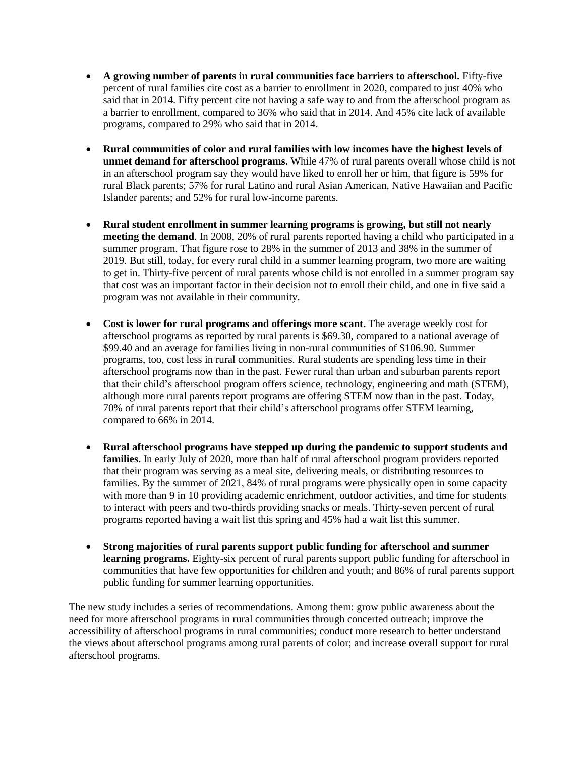- **A growing number of parents in rural communities face barriers to afterschool.** Fifty-five percent of rural families cite cost as a barrier to enrollment in 2020, compared to just 40% who said that in 2014. Fifty percent cite not having a safe way to and from the afterschool program as a barrier to enrollment, compared to 36% who said that in 2014. And 45% cite lack of available programs, compared to 29% who said that in 2014.
- **Rural communities of color and rural families with low incomes have the highest levels of unmet demand for afterschool programs.** While 47% of rural parents overall whose child is not in an afterschool program say they would have liked to enroll her or him, that figure is 59% for rural Black parents; 57% for rural Latino and rural Asian American, Native Hawaiian and Pacific Islander parents; and 52% for rural low-income parents.
- **Rural student enrollment in summer learning programs is growing, but still not nearly meeting the demand**. In 2008, 20% of rural parents reported having a child who participated in a summer program. That figure rose to 28% in the summer of 2013 and 38% in the summer of 2019. But still, today, for every rural child in a summer learning program, two more are waiting to get in. Thirty-five percent of rural parents whose child is not enrolled in a summer program say that cost was an important factor in their decision not to enroll their child, and one in five said a program was not available in their community.
- **Cost is lower for rural programs and offerings more scant.** The average weekly cost for afterschool programs as reported by rural parents is \$69.30, compared to a national average of \$99.40 and an average for families living in non-rural communities of \$106.90. Summer programs, too, cost less in rural communities. Rural students are spending less time in their afterschool programs now than in the past. Fewer rural than urban and suburban parents report that their child's afterschool program offers science, technology, engineering and math (STEM), although more rural parents report programs are offering STEM now than in the past. Today, 70% of rural parents report that their child's afterschool programs offer STEM learning, compared to 66% in 2014.
- **Rural afterschool programs have stepped up during the pandemic to support students and families.** In early July of 2020, more than half of rural afterschool program providers reported that their program was serving as a meal site, delivering meals, or distributing resources to families. By the summer of 2021, 84% of rural programs were physically open in some capacity with more than 9 in 10 providing academic enrichment, outdoor activities, and time for students to interact with peers and two-thirds providing snacks or meals. Thirty-seven percent of rural programs reported having a wait list this spring and 45% had a wait list this summer.
- **Strong majorities of rural parents support public funding for afterschool and summer learning programs.** Eighty-six percent of rural parents support public funding for afterschool in communities that have few opportunities for children and youth; and 86% of rural parents support public funding for summer learning opportunities.

The new study includes a series of recommendations. Among them: grow public awareness about the need for more afterschool programs in rural communities through concerted outreach; improve the accessibility of afterschool programs in rural communities; conduct more research to better understand the views about afterschool programs among rural parents of color; and increase overall support for rural afterschool programs.